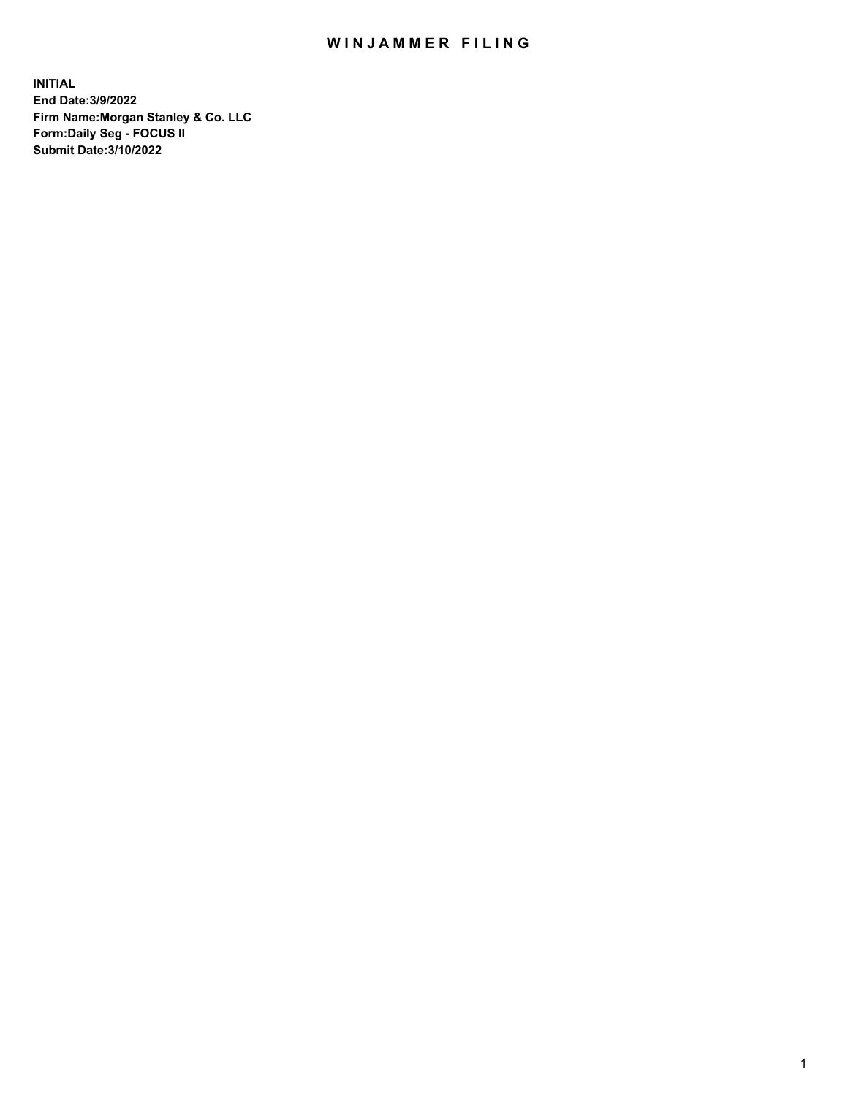## WIN JAMMER FILING

**INITIAL End Date:3/9/2022 Firm Name:Morgan Stanley & Co. LLC Form:Daily Seg - FOCUS II Submit Date:3/10/2022**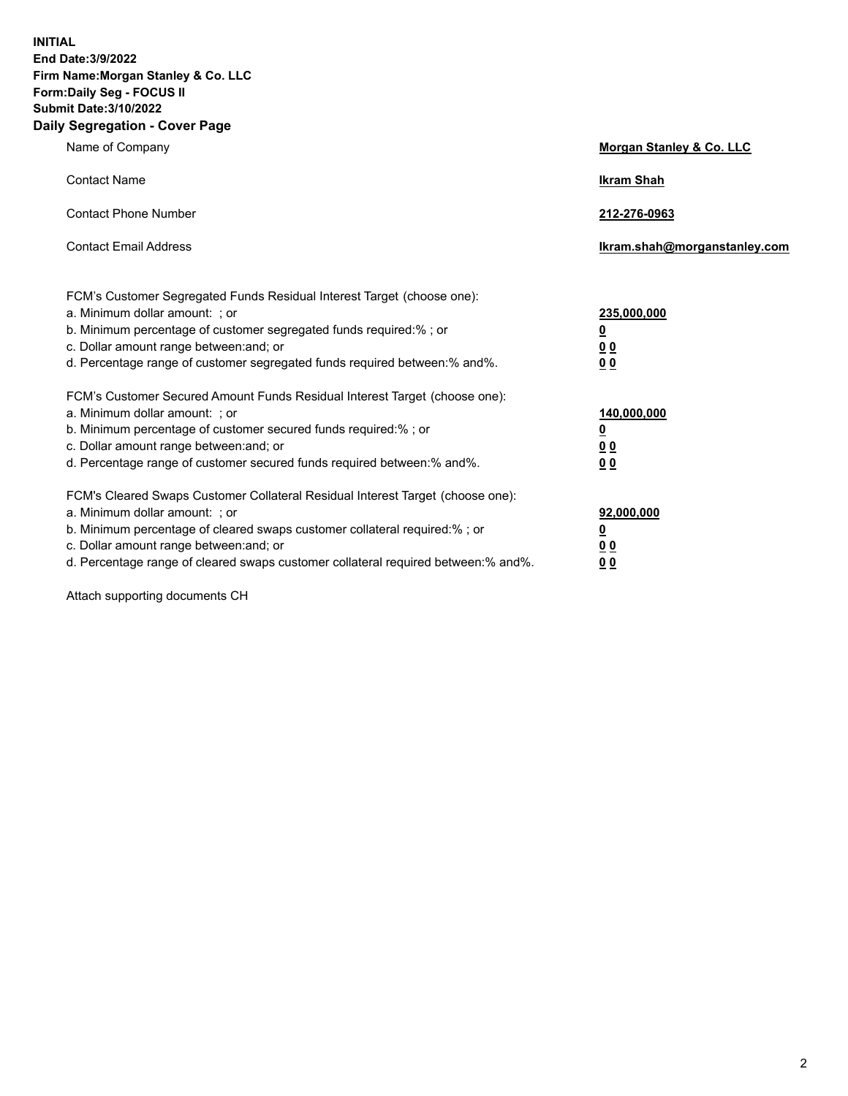**INITIAL End Date:3/9/2022 Firm Name:Morgan Stanley & Co. LLC Form:Daily Seg - FOCUS II Submit Date:3/10/2022 Daily Segregation - Cover Page**

| Name of Company                                                                                                                                                                                                                                                                                                                | Morgan Stanley & Co. LLC                                |
|--------------------------------------------------------------------------------------------------------------------------------------------------------------------------------------------------------------------------------------------------------------------------------------------------------------------------------|---------------------------------------------------------|
| <b>Contact Name</b>                                                                                                                                                                                                                                                                                                            | <b>Ikram Shah</b>                                       |
| <b>Contact Phone Number</b>                                                                                                                                                                                                                                                                                                    | 212-276-0963                                            |
| <b>Contact Email Address</b>                                                                                                                                                                                                                                                                                                   | Ikram.shah@morganstanley.com                            |
| FCM's Customer Segregated Funds Residual Interest Target (choose one):<br>a. Minimum dollar amount: ; or<br>b. Minimum percentage of customer segregated funds required:% ; or<br>c. Dollar amount range between: and; or                                                                                                      | 235,000,000<br><u>0</u><br><u>00</u>                    |
| d. Percentage range of customer segregated funds required between:% and%.<br>FCM's Customer Secured Amount Funds Residual Interest Target (choose one):                                                                                                                                                                        | 0 <sup>0</sup>                                          |
| a. Minimum dollar amount: ; or<br>b. Minimum percentage of customer secured funds required:%; or<br>c. Dollar amount range between: and; or<br>d. Percentage range of customer secured funds required between: % and %.                                                                                                        | 140,000,000<br><u>0</u><br><u>0 0</u><br>0 <sub>0</sub> |
| FCM's Cleared Swaps Customer Collateral Residual Interest Target (choose one):<br>a. Minimum dollar amount: ; or<br>b. Minimum percentage of cleared swaps customer collateral required:% ; or<br>c. Dollar amount range between: and; or<br>d. Percentage range of cleared swaps customer collateral required between:% and%. | 92,000,000<br><u>0</u><br>0 Q<br>0 <sub>0</sub>         |

Attach supporting documents CH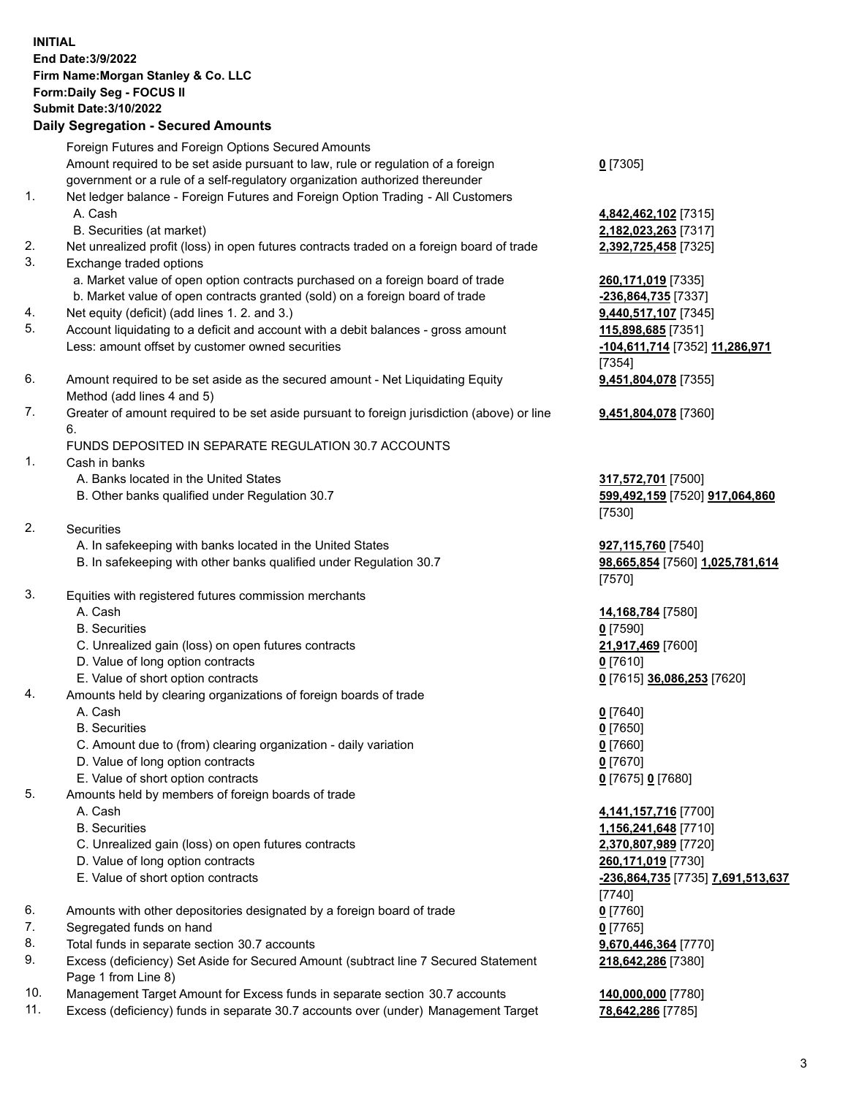## **INITIAL End Date:3/9/2022 Firm Name:Morgan Stanley & Co. LLC Form:Daily Seg - FOCUS II Submit Date:3/10/2022 Daily Segregation - Secured Amounts** Foreign Futures and Foreign Options Secured Amounts Amount required to be set aside pursuant to law, rule or regulation of a foreign government or a rule of a self-regulatory organization authorized thereunder 1. Net ledger balance - Foreign Futures and Foreign Option Trading - All Customers A. Cash **4,842,462,102** [7315] B. Securities (at market) **2,182,023,263** [7317] 2. Net unrealized profit (loss) in open futures contracts traded on a foreign board of trade **2,392,725,458** [7325] 3. Exchange traded options

- a. Market value of open option contracts purchased on a foreign board of trade **260,171,019** [7335]
- b. Market value of open contracts granted (sold) on a foreign board of trade **-236,864,735** [7337]
- 4. Net equity (deficit) (add lines 1. 2. and 3.) **9,440,517,107** [7345]
- 5. Account liquidating to a deficit and account with a debit balances gross amount **115,898,685** [7351] Less: amount offset by customer owned securities **-104,611,714** [7352] **11,286,971**
- 6. Amount required to be set aside as the secured amount Net Liquidating Equity Method (add lines 4 and 5)
- 7. Greater of amount required to be set aside pursuant to foreign jurisdiction (above) or line 6.

## FUNDS DEPOSITED IN SEPARATE REGULATION 30.7 ACCOUNTS

- 1. Cash in banks
	- A. Banks located in the United States **317,572,701** [7500]
	- B. Other banks qualified under Regulation 30.7 **599,492,159** [7520] **917,064,860**
- 2. Securities
	- A. In safekeeping with banks located in the United States **927,115,760** [7540]
	- B. In safekeeping with other banks qualified under Regulation 30.7 **98,665,854** [7560] **1,025,781,614**
- 3. Equities with registered futures commission merchants
	-
	- B. Securities **0** [7590]
	- C. Unrealized gain (loss) on open futures contracts **21,917,469** [7600]
	- D. Value of long option contracts **0** [7610]
	- E. Value of short option contracts **0** [7615] **36,086,253** [7620]
- 4. Amounts held by clearing organizations of foreign boards of trade
	-
	- B. Securities **0** [7650]
	- C. Amount due to (from) clearing organization daily variation **0** [7660]
	- D. Value of long option contracts **0** [7670]
	- E. Value of short option contracts **0** [7675] **0** [7680]
- 5. Amounts held by members of foreign boards of trade
	-
	-
	- C. Unrealized gain (loss) on open futures contracts **2,370,807,989** [7720]
	- D. Value of long option contracts **260,171,019** [7730]
	-
- 6. Amounts with other depositories designated by a foreign board of trade **0** [7760]
- 7. Segregated funds on hand **0** [7765]
- 8. Total funds in separate section 30.7 accounts **9,670,446,364** [7770]
- 9. Excess (deficiency) Set Aside for Secured Amount (subtract line 7 Secured Statement Page 1 from Line 8)
- 10. Management Target Amount for Excess funds in separate section 30.7 accounts **140,000,000** [7780]
- 11. Excess (deficiency) funds in separate 30.7 accounts over (under) Management Target **78,642,286** [7785]

**0** [7305]

[7354] **9,451,804,078** [7355]

**9,451,804,078** [7360]

[7530]

[7570]

A. Cash **14,168,784** [7580]

A. Cash **0** [7640]

 A. Cash **4,141,157,716** [7700] B. Securities **1,156,241,648** [7710] E. Value of short option contracts **-236,864,735** [7735] **7,691,513,637** [7740] **218,642,286** [7380]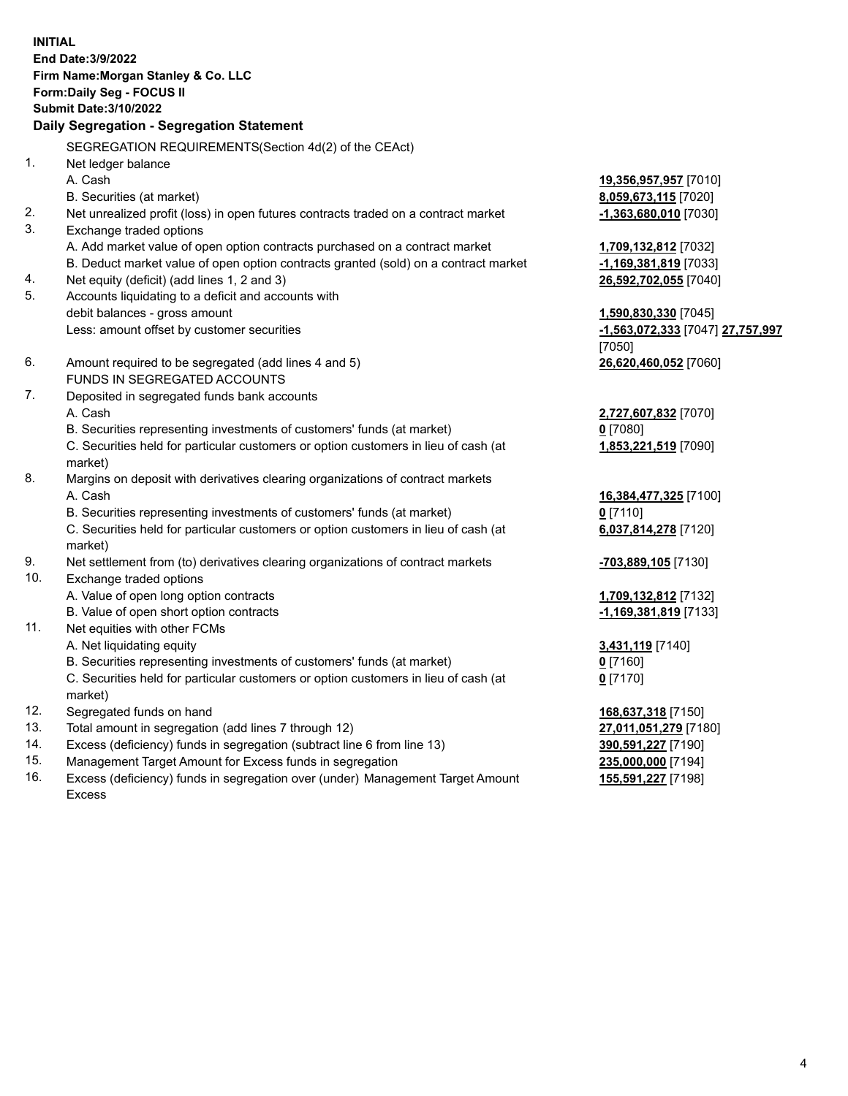**INITIAL End Date:3/9/2022 Firm Name:Morgan Stanley & Co. LLC Form:Daily Seg - FOCUS II Submit Date:3/10/2022 Daily Segregation - Segregation Statement** SEGREGATION REQUIREMENTS(Section 4d(2) of the CEAct) 1. Net ledger balance A. Cash **19,356,957,957** [7010] B. Securities (at market) **8,059,673,115** [7020] 2. Net unrealized profit (loss) in open futures contracts traded on a contract market **-1,363,680,010** [7030] 3. Exchange traded options A. Add market value of open option contracts purchased on a contract market **1,709,132,812** [7032] B. Deduct market value of open option contracts granted (sold) on a contract market **-1,169,381,819** [7033] 4. Net equity (deficit) (add lines 1, 2 and 3) **26,592,702,055** [7040] 5. Accounts liquidating to a deficit and accounts with debit balances - gross amount **1,590,830,330** [7045] Less: amount offset by customer securities **-1,563,072,333** [7047] **27,757,997** [7050] 6. Amount required to be segregated (add lines 4 and 5) **26,620,460,052** [7060] FUNDS IN SEGREGATED ACCOUNTS 7. Deposited in segregated funds bank accounts A. Cash **2,727,607,832** [7070] B. Securities representing investments of customers' funds (at market) **0** [7080] C. Securities held for particular customers or option customers in lieu of cash (at market) **1,853,221,519** [7090] 8. Margins on deposit with derivatives clearing organizations of contract markets A. Cash **16,384,477,325** [7100] B. Securities representing investments of customers' funds (at market) **0** [7110] C. Securities held for particular customers or option customers in lieu of cash (at market) **6,037,814,278** [7120] 9. Net settlement from (to) derivatives clearing organizations of contract markets **-703,889,105** [7130] 10. Exchange traded options A. Value of open long option contracts **1,709,132,812** [7132] B. Value of open short option contracts **-1,169,381,819** [7133] 11. Net equities with other FCMs A. Net liquidating equity **3,431,119** [7140] B. Securities representing investments of customers' funds (at market) **0** [7160] C. Securities held for particular customers or option customers in lieu of cash (at market) **0** [7170] 12. Segregated funds on hand **168,637,318** [7150] 13. Total amount in segregation (add lines 7 through 12) **27,011,051,279** [7180] 14. Excess (deficiency) funds in segregation (subtract line 6 from line 13) **390,591,227** [7190] 15. Management Target Amount for Excess funds in segregation **235,000,000** [7194]

16. Excess (deficiency) funds in segregation over (under) Management Target Amount Excess

**155,591,227** [7198]